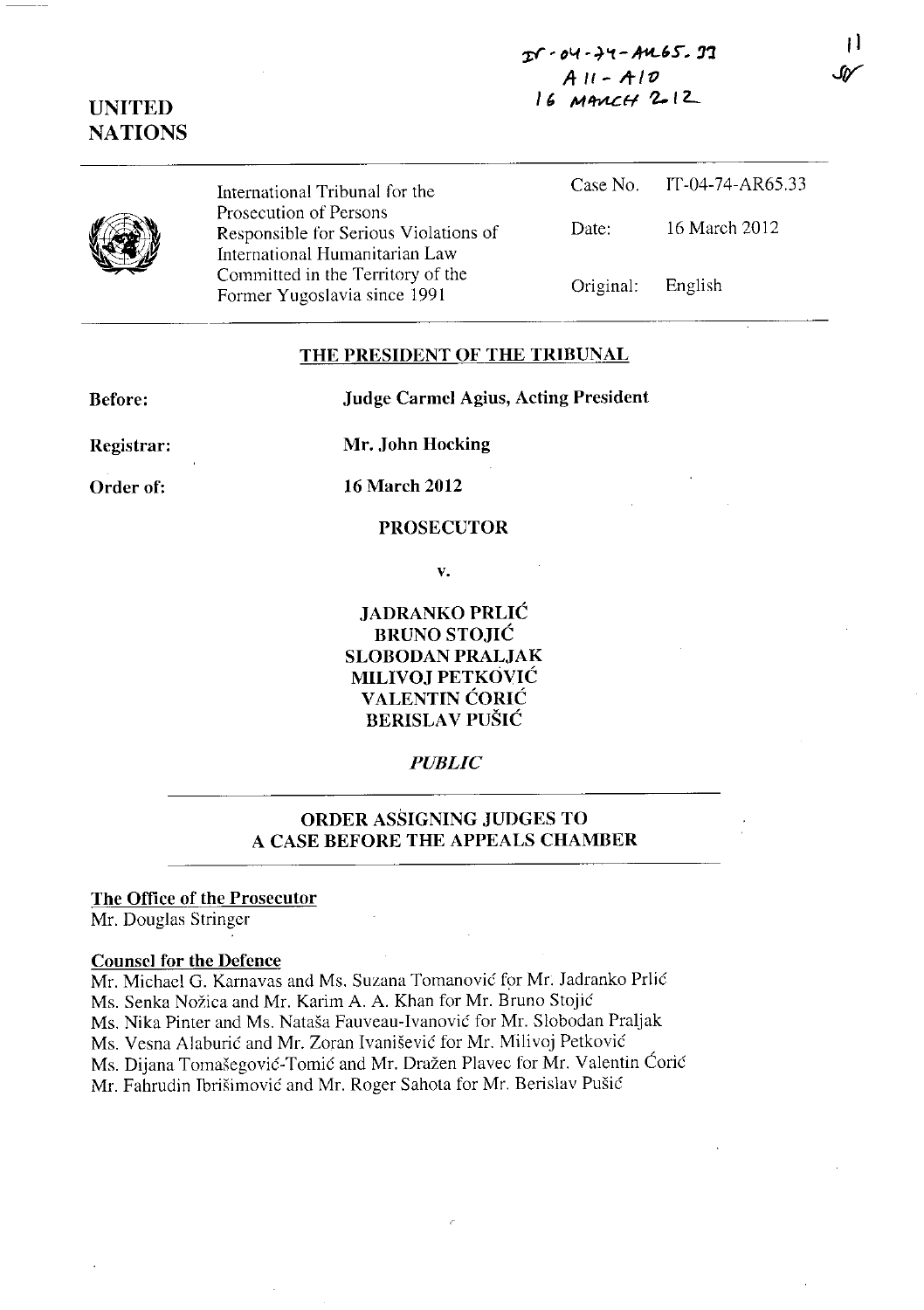# ~' **D"1** ,~'I. **- A-K-H', !I'l**   $AII - AIO$  $16$  M ANCH  $2$ -12

# **UNITED NATIONS**

International Tribunal for the Prosecution of Persons Responsible for Serious Violations of International Humanitarian Law Committed in the Territory of the Former Yugoslavia since 1991

|           | Case No. IT-04-74-AR65.33 |
|-----------|---------------------------|
| Date:     | 16 March 2012             |
| Original: | English                   |

## **THE PRESIDENT OF THE TRIBUNAL**

**Before:** 

**Judge Carmcl** Agius, **Acting President** 

**Registrar:** 

**Mr. John Hocking** 

**Order of:** 

**16 March 2012** 

#### **PROSECUTOR**

v.

**JADRANKO PRLIC BRUNO STOJIC SLOBODAN PRALJAK MILIVOJ PETKOVIC VALENTlN CORIC BERISLA V PUSIC** 

## *PUBLIC*

# **ORDER ASSIGNING JUDGES TO A CASE BEFORE THE APPEALS CHAMBER**

### **The Office of the Prosecutor**

Mr. Douglas Stringer

#### **Counsel for the Defence**

Mr. Michacl G. Karnavas and Ms. Suzana Tomanovic for Mr. Iadranko Prlic Ms. Senka Nožica and Mr. Karim A. A. Khan for Mr. Bruno Stojić Ms. Nika Pinter and Ms. Natasa Fauveau-Ivanovic for Mr. Slobodan Praljak Ms. Vesna Alaburic and Mr. Zoran Ivanisevic for Mr. Milivoj Petkovic Ms. Dijana Tomašegović-Tomić and Mr. Dražen Plavec for Mr. Valentin Ćorić Mr. Fahrudin Tbrisimovic and Mr. Roger Sahota for Mr. Berislav Pusic